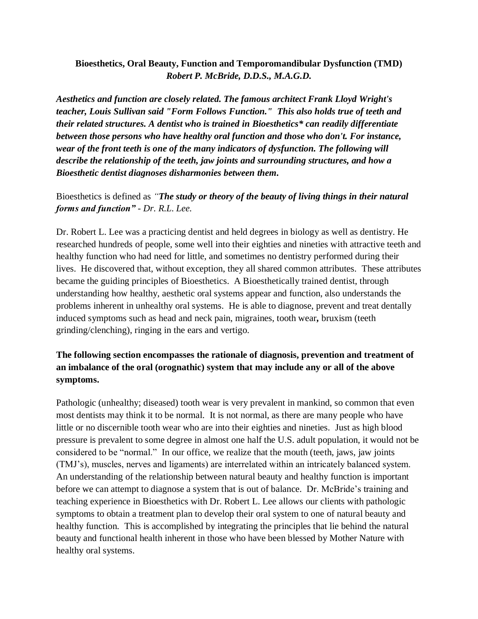### **Bioesthetics, Oral Beauty, Function and Temporomandibular Dysfunction (TMD)** *Robert P. McBride, D.D.S., M.A.G.D.*

*Aesthetics and function are closely related. The famous architect Frank Lloyd Wright's teacher, Louis Sullivan said "Form Follows Function." This also holds true of teeth and their related structures. A dentist who is trained in Bioesthetics\* can readily differentiate between those persons who have healthy oral function and those who don't. For instance, wear of the front teeth is one of the many indicators of dysfunction. The following will describe the relationship of the teeth, jaw joints and surrounding structures, and how a Bioesthetic dentist diagnoses disharmonies between them.*

## Bioesthetics is defined as *"The study or theory of the beauty of living things in their natural forms and function"* - *Dr. R.L. Lee.*

Dr. Robert L. Lee was a practicing dentist and held degrees in biology as well as dentistry. He researched hundreds of people, some well into their eighties and nineties with attractive teeth and healthy function who had need for little, and sometimes no dentistry performed during their lives. He discovered that, without exception, they all shared common attributes. These attributes became the guiding principles of Bioesthetics. A Bioesthetically trained dentist, through understanding how healthy, aesthetic oral systems appear and function, also understands the problems inherent in unhealthy oral systems. He is able to diagnose, prevent and treat dentally induced symptoms such as head and neck pain, migraines, tooth wear*,* bruxism (teeth grinding/clenching), ringing in the ears and vertigo.

# **The following section encompasses the rationale of diagnosis, prevention and treatment of an imbalance of the oral (orognathic) system that may include any or all of the above symptoms.**

Pathologic (unhealthy; diseased) tooth wear is very prevalent in mankind, so common that even most dentists may think it to be normal. It is not normal, as there are many people who have little or no discernible tooth wear who are into their eighties and nineties. Just as high blood pressure is prevalent to some degree in almost one half the U.S. adult population, it would not be considered to be "normal." In our office, we realize that the mouth (teeth, jaws, jaw joints (TMJ's), muscles, nerves and ligaments) are interrelated within an intricately balanced system. An understanding of the relationship between natural beauty and healthy function is important before we can attempt to diagnose a system that is out of balance. Dr. McBride's training and teaching experience in Bioesthetics with Dr. Robert L. Lee allows our clients with pathologic symptoms to obtain a treatment plan to develop their oral system to one of natural beauty and healthy function. This is accomplished by integrating the principles that lie behind the natural beauty and functional health inherent in those who have been blessed by Mother Nature with healthy oral systems.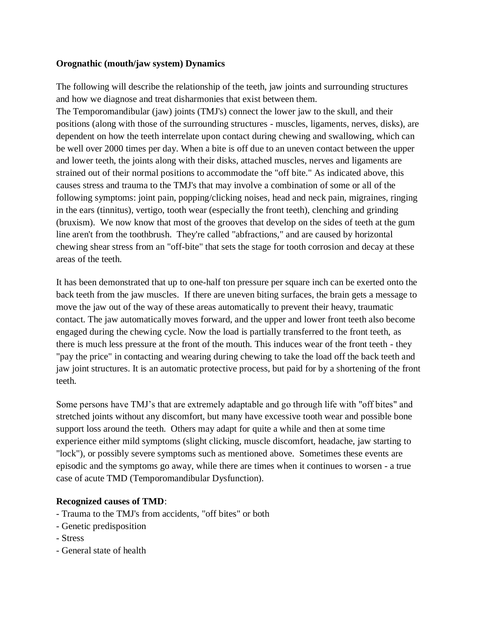#### **Orognathic (mouth/jaw system) Dynamics**

The following will describe the relationship of the teeth, jaw joints and surrounding structures and how we diagnose and treat disharmonies that exist between them.

The Temporomandibular (jaw) joints (TMJ's) connect the lower jaw to the skull, and their positions (along with those of the surrounding structures - muscles, ligaments, nerves, disks), are dependent on how the teeth interrelate upon contact during chewing and swallowing, which can be well over 2000 times per day. When a bite is off due to an uneven contact between the upper and lower teeth, the joints along with their disks, attached muscles, nerves and ligaments are strained out of their normal positions to accommodate the "off bite." As indicated above, this causes stress and trauma to the TMJ's that may involve a combination of some or all of the following symptoms: joint pain, popping/clicking noises, head and neck pain, migraines, ringing in the ears (tinnitus), vertigo, tooth wear (especially the front teeth), clenching and grinding (bruxism). We now know that most of the grooves that develop on the sides of teeth at the gum line aren't from the toothbrush. They're called "abfractions," and are caused by horizontal chewing shear stress from an "off-bite" that sets the stage for tooth corrosion and decay at these areas of the teeth.

It has been demonstrated that up to one-half ton pressure per square inch can be exerted onto the back teeth from the jaw muscles. If there are uneven biting surfaces, the brain gets a message to move the jaw out of the way of these areas automatically to prevent their heavy, traumatic contact. The jaw automatically moves forward, and the upper and lower front teeth also become engaged during the chewing cycle. Now the load is partially transferred to the front teeth, as there is much less pressure at the front of the mouth. This induces wear of the front teeth - they "pay the price" in contacting and wearing during chewing to take the load off the back teeth and jaw joint structures. It is an automatic protective process, but paid for by a shortening of the front teeth.

Some persons have TMJ's that are extremely adaptable and go through life with "off bites" and stretched joints without any discomfort, but many have excessive tooth wear and possible bone support loss around the teeth. Others may adapt for quite a while and then at some time experience either mild symptoms (slight clicking, muscle discomfort, headache, jaw starting to "lock"), or possibly severe symptoms such as mentioned above. Sometimes these events are episodic and the symptoms go away, while there are times when it continues to worsen - a true case of acute TMD (Temporomandibular Dysfunction).

### **Recognized causes of TMD**:

- Trauma to the TMJ's from accidents, "off bites" or both
- Genetic predisposition
- Stress
- General state of health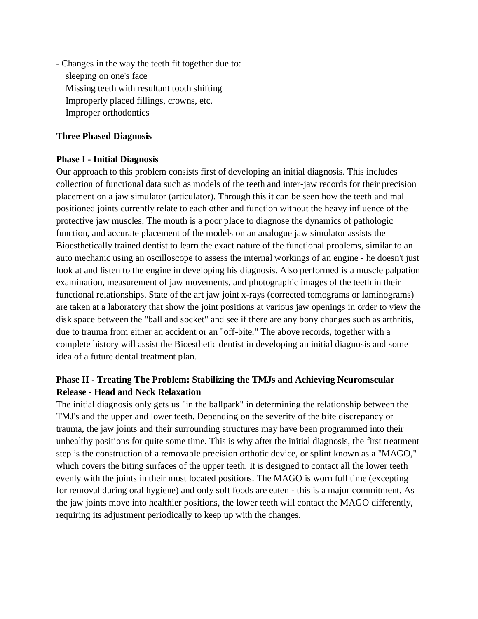- Changes in the way the teeth fit together due to: sleeping on one's face Missing teeth with resultant tooth shifting Improperly placed fillings, crowns, etc. Improper orthodontics

#### **Three Phased Diagnosis**

#### **Phase I - Initial Diagnosis**

Our approach to this problem consists first of developing an initial diagnosis. This includes collection of functional data such as models of the teeth and inter-jaw records for their precision placement on a jaw simulator (articulator). Through this it can be seen how the teeth and mal positioned joints currently relate to each other and function without the heavy influence of the protective jaw muscles. The mouth is a poor place to diagnose the dynamics of pathologic function, and accurate placement of the models on an analogue jaw simulator assists the Bioesthetically trained dentist to learn the exact nature of the functional problems, similar to an auto mechanic using an oscilloscope to assess the internal workings of an engine - he doesn't just look at and listen to the engine in developing his diagnosis. Also performed is a muscle palpation examination, measurement of jaw movements, and photographic images of the teeth in their functional relationships. State of the art jaw joint x-rays (corrected tomograms or laminograms) are taken at a laboratory that show the joint positions at various jaw openings in order to view the disk space between the "ball and socket" and see if there are any bony changes such as arthritis, due to trauma from either an accident or an "off-bite." The above records, together with a complete history will assist the Bioesthetic dentist in developing an initial diagnosis and some idea of a future dental treatment plan.

# **Phase II - Treating The Problem: Stabilizing the TMJs and Achieving Neuromscular Release - Head and Neck Relaxation**

The initial diagnosis only gets us "in the ballpark" in determining the relationship between the TMJ's and the upper and lower teeth. Depending on the severity of the bite discrepancy or trauma, the jaw joints and their surrounding structures may have been programmed into their unhealthy positions for quite some time. This is why after the initial diagnosis, the first treatment step is the construction of a removable precision orthotic device, or splint known as a "MAGO," which covers the biting surfaces of the upper teeth. It is designed to contact all the lower teeth evenly with the joints in their most located positions. The MAGO is worn full time (excepting for removal during oral hygiene) and only soft foods are eaten - this is a major commitment. As the jaw joints move into healthier positions, the lower teeth will contact the MAGO differently, requiring its adjustment periodically to keep up with the changes.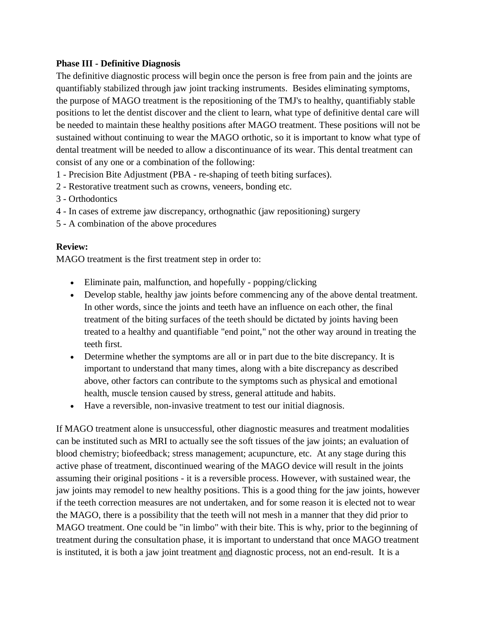#### **Phase III - Definitive Diagnosis**

The definitive diagnostic process will begin once the person is free from pain and the joints are quantifiably stabilized through jaw joint tracking instruments. Besides eliminating symptoms, the purpose of MAGO treatment is the repositioning of the TMJ's to healthy, quantifiably stable positions to let the dentist discover and the client to learn, what type of definitive dental care will be needed to maintain these healthy positions after MAGO treatment. These positions will not be sustained without continuing to wear the MAGO orthotic, so it is important to know what type of dental treatment will be needed to allow a discontinuance of its wear. This dental treatment can consist of any one or a combination of the following:

- 1 Precision Bite Adjustment (PBA re-shaping of teeth biting surfaces).
- 2 Restorative treatment such as crowns, veneers, bonding etc.
- 3 Orthodontics
- 4 In cases of extreme jaw discrepancy, orthognathic (jaw repositioning) surgery
- 5 A combination of the above procedures

### **Review:**

MAGO treatment is the first treatment step in order to:

- Eliminate pain, malfunction, and hopefully popping/clicking
- Develop stable, healthy jaw joints before commencing any of the above dental treatment. In other words, since the joints and teeth have an influence on each other, the final treatment of the biting surfaces of the teeth should be dictated by joints having been treated to a healthy and quantifiable "end point," not the other way around in treating the teeth first.
- Determine whether the symptoms are all or in part due to the bite discrepancy. It is important to understand that many times, along with a bite discrepancy as described above, other factors can contribute to the symptoms such as physical and emotional health, muscle tension caused by stress, general attitude and habits.
- Have a reversible, non-invasive treatment to test our initial diagnosis.

If MAGO treatment alone is unsuccessful, other diagnostic measures and treatment modalities can be instituted such as MRI to actually see the soft tissues of the jaw joints; an evaluation of blood chemistry; biofeedback; stress management; acupuncture, etc. At any stage during this active phase of treatment, discontinued wearing of the MAGO device will result in the joints assuming their original positions - it is a reversible process. However, with sustained wear, the jaw joints may remodel to new healthy positions. This is a good thing for the jaw joints, however if the teeth correction measures are not undertaken, and for some reason it is elected not to wear the MAGO, there is a possibility that the teeth will not mesh in a manner that they did prior to MAGO treatment. One could be "in limbo" with their bite. This is why, prior to the beginning of treatment during the consultation phase, it is important to understand that once MAGO treatment is instituted, it is both a jaw joint treatment and diagnostic process, not an end-result. It is a